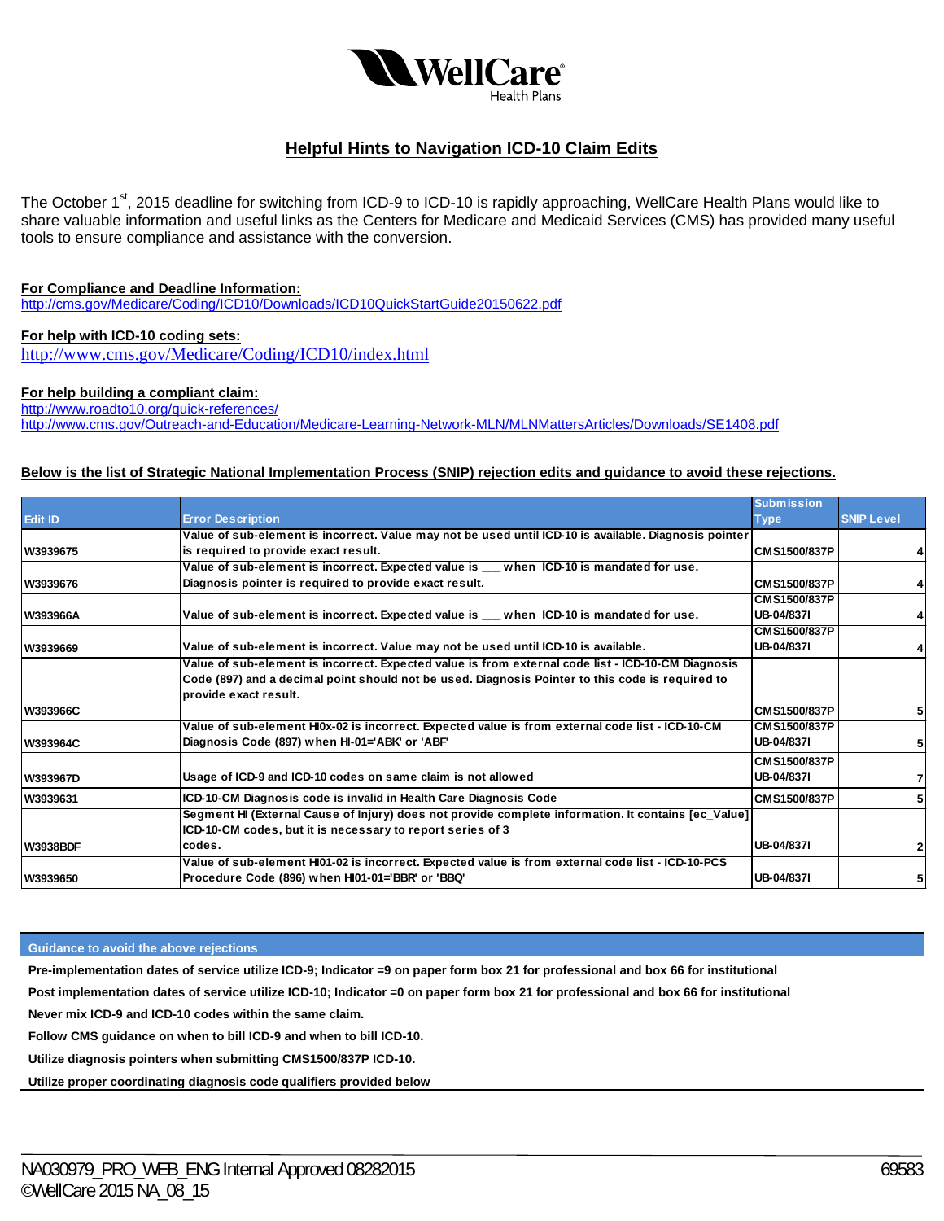

# **Helpful Hints to Navigation ICD-10 Claim Edits**

The October 1<sup>st</sup>, 2015 deadline for switching from ICD-9 to ICD-10 is rapidly approaching, WellCare Health Plans would like to share valuable information and useful links as the Centers for Medicare and Medicaid Services (CMS) has provided many useful tools to ensure compliance and assistance with the conversion.

## **For Compliance and Deadline Information:**

http://cms.gov/Medicare/Coding/ICD10/Downloads/ICD10QuickStartGuide20150622.pdf

#### **For help with ICD-10 coding sets:**

http://www.cms.gov/Medicare/Coding/ICD10/index.html

#### **For help building a compliant claim:**

http://www.roadto10.org/quick-references/ http://www.cms.gov/Outreach-and-Education/Medicare-Learning-Network-MLN/MLNMattersArticles/Downloads/SE1408.pdf

#### **Below is the list of Strategic National Implementation Process (SNIP) rejection edits and guidance to avoid these rejections.**

|                 |                                                                                                       | <b>Submission</b>   |                   |
|-----------------|-------------------------------------------------------------------------------------------------------|---------------------|-------------------|
| <b>Edit ID</b>  | <b>Error Description</b>                                                                              | <b>Type</b>         | <b>SNIP Level</b> |
|                 | Value of sub-element is incorrect. Value may not be used until ICD-10 is available. Diagnosis pointer |                     |                   |
| W3939675        | is required to provide exact result.                                                                  | <b>CMS1500/837P</b> |                   |
|                 | Value of sub-element is incorrect. Expected value is __ when ICD-10 is mandated for use.              |                     |                   |
| W3939676        | Diagnosis pointer is required to provide exact result.                                                | <b>CMS1500/837P</b> |                   |
|                 |                                                                                                       | CMS1500/837P        |                   |
| W393966A        | Value of sub-element is incorrect. Expected value is __ when ICD-10 is mandated for use.              | UB-04/837I          |                   |
|                 |                                                                                                       | <b>CMS1500/837P</b> |                   |
| W3939669        | Value of sub-element is incorrect. Value may not be used until ICD-10 is available.                   | UB-04/837I          |                   |
|                 | Value of sub-element is incorrect. Expected value is from external code list - ICD-10-CM Diagnosis    |                     |                   |
|                 | Code (897) and a decimal point should not be used. Diagnosis Pointer to this code is required to      |                     |                   |
|                 | Iprovide exact result.                                                                                |                     |                   |
| <b>W393966C</b> |                                                                                                       | <b>CMS1500/837P</b> |                   |
|                 | Value of sub-element HI0x-02 is incorrect. Expected value is from external code list - ICD-10-CM      | <b>CMS1500/837P</b> |                   |
| W393964C        | Diagnosis Code (897) when HI-01='ABK' or 'ABF'                                                        | UB-04/837I          |                   |
|                 |                                                                                                       | CMS1500/837P        |                   |
| W393967D        | Usage of ICD-9 and ICD-10 codes on same claim is not allowed                                          | UB-04/837I          |                   |
| W3939631        | ICD-10-CM Diagnosis code is invalid in Health Care Diagnosis Code                                     | <b>CMS1500/837P</b> |                   |
|                 | Segment HI (External Cause of Injury) does not provide complete information. It contains [ec_Value]   |                     |                   |
|                 | ICD-10-CM codes, but it is necessary to report series of 3                                            |                     |                   |
| <b>W3938BDF</b> | codes.                                                                                                | UB-04/8371          |                   |
|                 | Value of sub-element HI01-02 is incorrect. Expected value is from external code list - ICD-10-PCS     |                     |                   |
| W3939650        | Procedure Code (896) when HI01-01='BBR' or 'BBQ'                                                      | UB-04/8371          | 5                 |

**Guidance to avoid the above rejections** 

**Pre-implementation dates of service utilize ICD-9; Indicator =9 on paper form box 21 for professional and box 66 for institutional** 

**Post implementation dates of service utilize ICD-10; Indicator =0 on paper form box 21 for professional and box 66 for institutional** 

**Never mix ICD-9 and ICD-10 codes within the same claim.** 

**Follow CMS guidance on when to bill ICD-9 and when to bill ICD-10.** 

**Utilize diagnosis pointers when submitting CMS1500/837P ICD-10.** 

**Utilize proper coordinating diagnosis code qualifiers provided below**